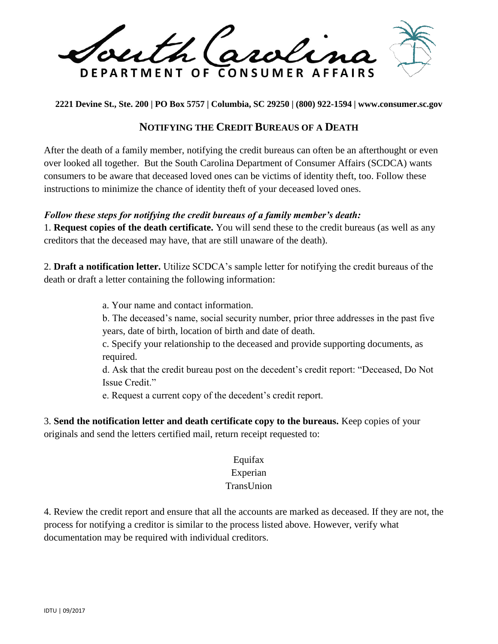th Caroli DEPARTMENT OF CONSUMER AFFAIRS

**2221 Devine St., Ste. 200 | PO Box 5757 | Columbia, SC 29250 | (800) 922-1594 | www.consumer.sc.gov** 

## **NOTIFYING THE CREDIT BUREAUS OF A DEATH**

After the death of a family member, notifying the credit bureaus can often be an afterthought or even over looked all together. But the South Carolina Department of Consumer Affairs (SCDCA) wants consumers to be aware that deceased loved ones can be victims of identity theft, too. Follow these instructions to minimize the chance of identity theft of your deceased loved ones.

## *Follow these steps for notifying the credit bureaus of a family member's death:*

1. **Request copies of the death certificate.** You will send these to the credit bureaus (as well as any creditors that the deceased may have, that are still unaware of the death).

2. **Draft a notification letter.** Utilize SCDCA's sample letter for notifying the credit bureaus of the death or draft a letter containing the following information:

a. Your name and contact information.

b. The deceased's name, social security number, prior three addresses in the past five years, date of birth, location of birth and date of death.

c. Specify your relationship to the deceased and provide supporting documents, as required.

d. Ask that the credit bureau post on the decedent's credit report: "Deceased, Do Not Issue Credit."

e. Request a current copy of the decedent's credit report.

3. **Send the notification letter and death certificate copy to the bureaus.** Keep copies of your originals and send the letters certified mail, return receipt requested to:

## Equifax Experian

## TransUnion

4. Review the credit report and ensure that all the accounts are marked as deceased. If they are not, the process for notifying a creditor is similar to the process listed above. However, verify what documentation may be required with individual creditors.